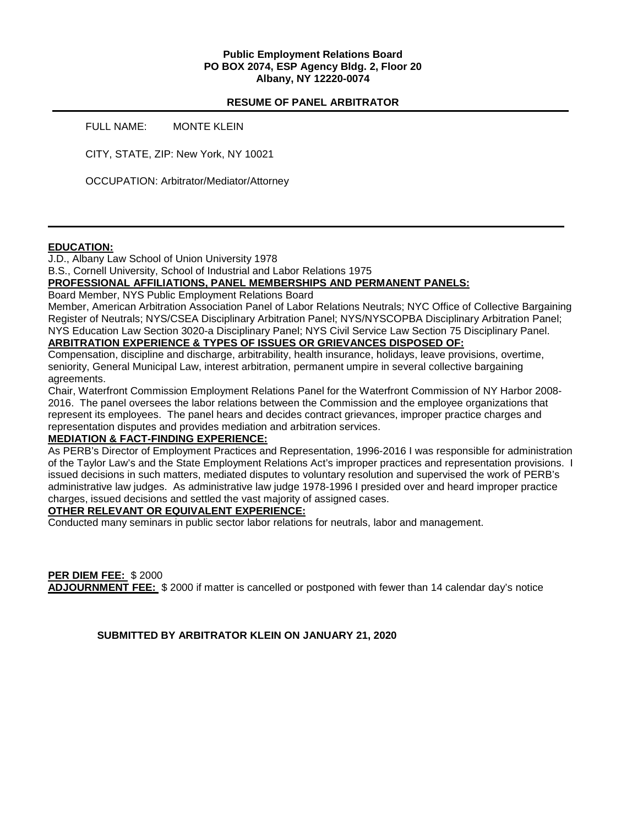### **Public Employment Relations Board PO BOX 2074, ESP Agency Bldg. 2, Floor 20 Albany, NY 12220-0074**

## **RESUME OF PANEL ARBITRATOR**

FULL NAME: MONTE KLEIN

CITY, STATE, ZIP: New York, NY 10021

OCCUPATION: Arbitrator/Mediator/Attorney

### **EDUCATION:**

J.D., Albany Law School of Union University 1978

B.S., Cornell University, School of Industrial and Labor Relations 1975

### **PROFESSIONAL AFFILIATIONS, PANEL MEMBERSHIPS AND PERMANENT PANELS:**

Board Member, NYS Public Employment Relations Board

Member, American Arbitration Association Panel of Labor Relations Neutrals; NYC Office of Collective Bargaining Register of Neutrals; NYS/CSEA Disciplinary Arbitration Panel; NYS/NYSCOPBA Disciplinary Arbitration Panel; NYS Education Law Section 3020-a Disciplinary Panel; NYS Civil Service Law Section 75 Disciplinary Panel. **ARBITRATION EXPERIENCE & TYPES OF ISSUES OR GRIEVANCES DISPOSED OF:** 

Compensation, discipline and discharge, arbitrability, health insurance, holidays, leave provisions, overtime, seniority, General Municipal Law, interest arbitration, permanent umpire in several collective bargaining agreements.

Chair, Waterfront Commission Employment Relations Panel for the Waterfront Commission of NY Harbor 2008- 2016. The panel oversees the labor relations between the Commission and the employee organizations that represent its employees. The panel hears and decides contract grievances, improper practice charges and representation disputes and provides mediation and arbitration services.

### **MEDIATION & FACT-FINDING EXPERIENCE:**

As PERB's Director of Employment Practices and Representation, 1996-2016 I was responsible for administration of the Taylor Law's and the State Employment Relations Act's improper practices and representation provisions. I issued decisions in such matters, mediated disputes to voluntary resolution and supervised the work of PERB's administrative law judges. As administrative law judge 1978-1996 I presided over and heard improper practice charges, issued decisions and settled the vast majority of assigned cases.

### **OTHER RELEVANT OR EQUIVALENT EXPERIENCE:**

Conducted many seminars in public sector labor relations for neutrals, labor and management.

**PER DIEM FEE:** \$ 2000 **ADJOURNMENT FEE:** \$ 2000 if matter is cancelled or postponed with fewer than 14 calendar day's notice

**SUBMITTED BY ARBITRATOR KLEIN ON JANUARY 21, 2020**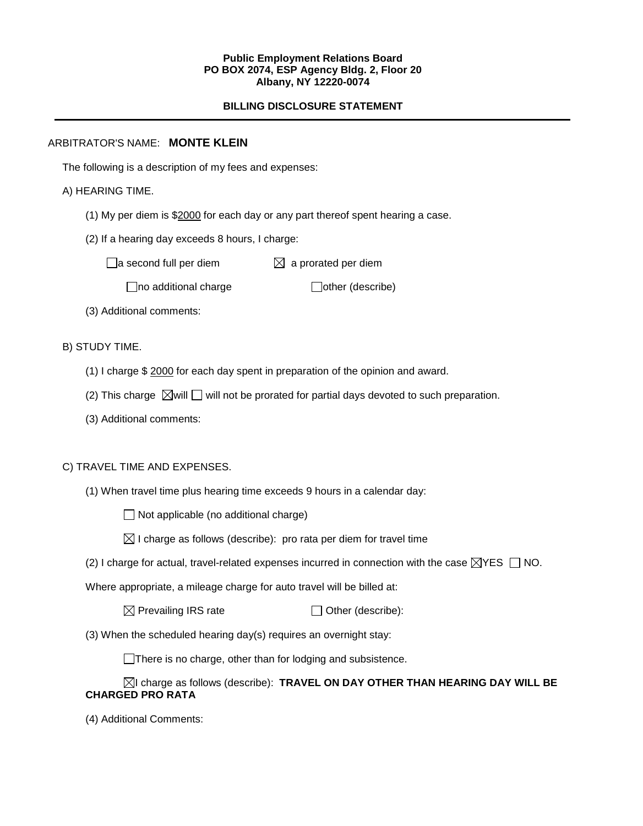#### **Public Employment Relations Board PO BOX 2074, ESP Agency Bldg. 2, Floor 20 Albany, NY 12220-0074**

# **BILLING DISCLOSURE STATEMENT**

## ARBITRATOR'S NAME: **MONTE KLEIN**

The following is a description of my fees and expenses:

## A) HEARING TIME.

- (1) My per diem is \$2000 for each day or any part thereof spent hearing a case.
- (2) If a hearing day exceeds 8 hours, I charge:

 $\Box$ a second full per diem  $\boxtimes$  a prorated per diem

 $\Box$ no additional charge  $\Box$ other (describe)

(3) Additional comments:

B) STUDY TIME.

- (1) I charge \$ 2000 for each day spent in preparation of the opinion and award.
- (2) This charge  $\boxtimes$  will  $\Box$  will not be prorated for partial days devoted to such preparation.
- (3) Additional comments:

### C) TRAVEL TIME AND EXPENSES.

(1) When travel time plus hearing time exceeds 9 hours in a calendar day:

 $\Box$  Not applicable (no additional charge)

 $\boxtimes$  I charge as follows (describe): pro rata per diem for travel time

(2) I charge for actual, travel-related expenses incurred in connection with the case  $\boxtimes$ YES  $\Box$  NO.

Where appropriate, a mileage charge for auto travel will be billed at:

 $\boxtimes$  Prevailing IRS rate  $\Box$  Other (describe):

(3) When the scheduled hearing day(s) requires an overnight stay:

There is no charge, other than for lodging and subsistence.

## I charge as follows (describe): **TRAVEL ON DAY OTHER THAN HEARING DAY WILL BE CHARGED PRO RATA**

(4) Additional Comments: